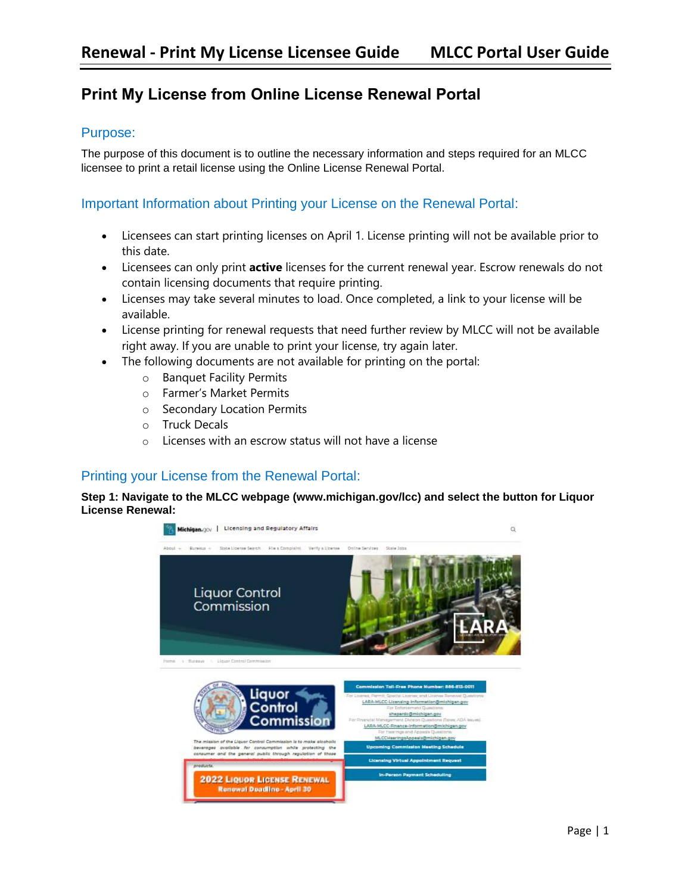# **Print My License from Online License Renewal Portal**

### Purpose:

The purpose of this document is to outline the necessary information and steps required for an MLCC licensee to print a retail license using the Online License Renewal Portal.

### Important Information about Printing your License on the Renewal Portal:

- Licensees can start printing licenses on April 1. License printing will not be available prior to this date.
- Licensees can only print **active** licenses for the current renewal year. Escrow renewals do not contain licensing documents that require printing.
- Licenses may take several minutes to load. Once completed, a link to your license will be available.
- License printing for renewal requests that need further review by MLCC will not be available right away. If you are unable to print your license, try again later.
- The following documents are not available for printing on the portal:
	- o Banquet Facility Permits
	- o Farmer's Market Permits
	- o Secondary Location Permits
	- o Truck Decals
	- o Licenses with an escrow status will not have a license

# Printing your License from the Renewal Portal:

#### **Step 1: Navigate to the MLCC webpage (www.michigan.gov/lcc) and select the button for Liquor License Renewal:**

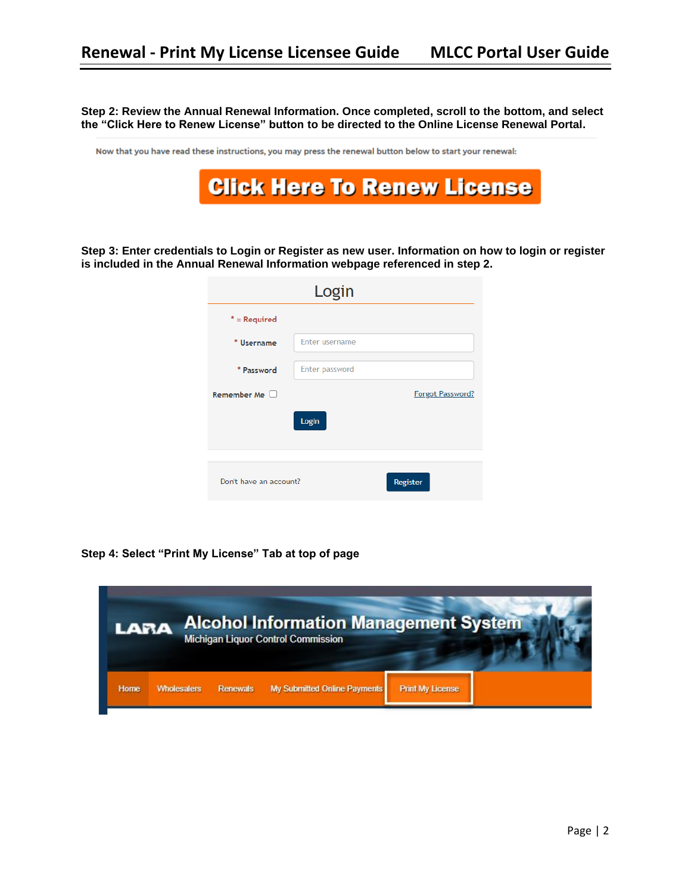**Step 2: Review the Annual Renewal Information. Once completed, scroll to the bottom, and select the "Click Here to Renew License" button to be directed to the Online License Renewal Portal.** 

Now that you have read these instructions, you may press the renewal button below to start your renewal:



**Step 3: Enter credentials to Login or Register as new user. Information on how to login or register is included in the Annual Renewal Information webpage referenced in step 2.**

|                        | Login                 |                  |
|------------------------|-----------------------|------------------|
| $*$ = Required         |                       |                  |
| * Username             | <b>Enter username</b> |                  |
| * Password             | Enter password        |                  |
| Remember Me            |                       | Forgot Password? |
|                        | Login                 |                  |
|                        |                       |                  |
| Don't have an account? |                       | Register         |

**Step 4: Select "Print My License" Tab at top of page** 

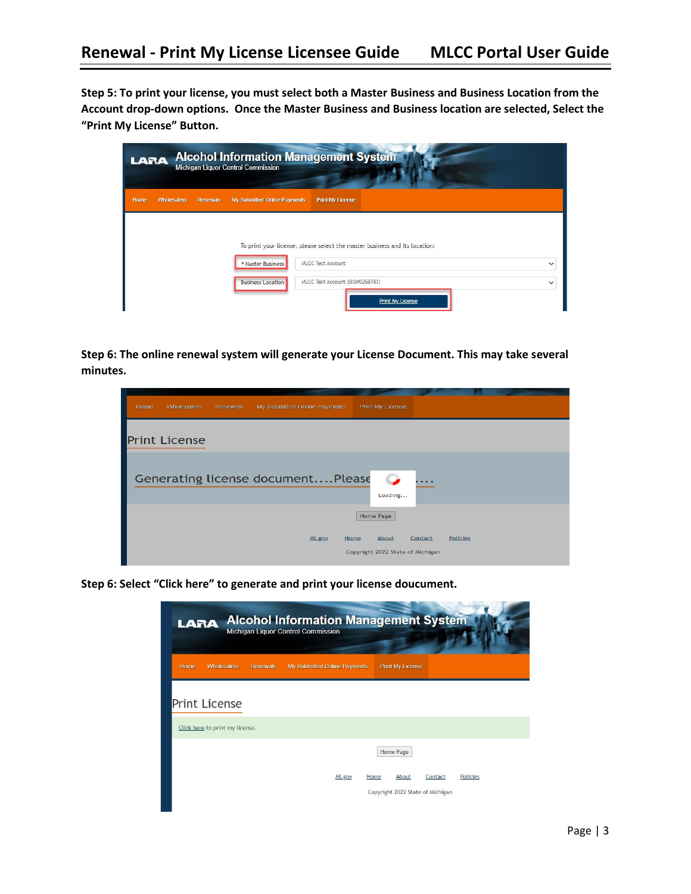**Step 5: To print your license, you must select both a Master Business and Business Location from the Account drop-down options. Once the Master Business and Business location are selected, Select the "Print My License" Button.**

| LARA        |                    |                 | <b>Michigan Liquor Control Commission</b> | <b>Alcohol Information Management System</b>                               |
|-------------|--------------------|-----------------|-------------------------------------------|----------------------------------------------------------------------------|
| <b>Home</b> | <b>Wholesalers</b> | <b>Renewals</b> | My Submitted Online Payments              | <b>Print My License</b>                                                    |
|             |                    |                 |                                           | To print your license, please select the master business and its location: |
|             |                    |                 | * Master Business                         | <b>MLCC Test Account</b><br>$\checkmark$                                   |
|             |                    |                 | <b>Business Location</b>                  | MLCC Test Account (BID#0258783)<br>$\checkmark$<br>Print My License        |

**Step 6: The online renewal system will generate your License Document. This may take several minutes.** 

| Home | <b>Wholesalers</b>   | Renewals | My Submitted Online Payments      | <b>Print My License</b>                           |                            |  |
|------|----------------------|----------|-----------------------------------|---------------------------------------------------|----------------------------|--|
|      | <b>Print License</b> |          |                                   |                                                   |                            |  |
|      |                      |          | Generating license documentPlease | $\bullet$<br>Loading                              |                            |  |
|      |                      |          |                                   | <b>Home Page</b>                                  |                            |  |
|      |                      |          | MI.gov                            | Home<br>About<br>Copyright 2022 State of Michigan | <b>Policies</b><br>Contact |  |

**Step 6: Select "Click here" to generate and print your license doucument.** 

| <b>Alcohol Information Management System</b><br><b>LARA</b><br>Michigan Liquor Control Commission |                                          |                                                                                              |  |  |  |
|---------------------------------------------------------------------------------------------------|------------------------------------------|----------------------------------------------------------------------------------------------|--|--|--|
| Home<br><b>Wholesalers</b>                                                                        | My Submitted Online Payments<br>Renewals | <b>Print My License</b>                                                                      |  |  |  |
| <b>Print License</b>                                                                              |                                          |                                                                                              |  |  |  |
| Click here to print my license.                                                                   |                                          |                                                                                              |  |  |  |
|                                                                                                   | MI.gov                                   | Home Page<br><b>Policies</b><br>Home<br>About<br>Contact<br>Copyright 2022 State of Michigan |  |  |  |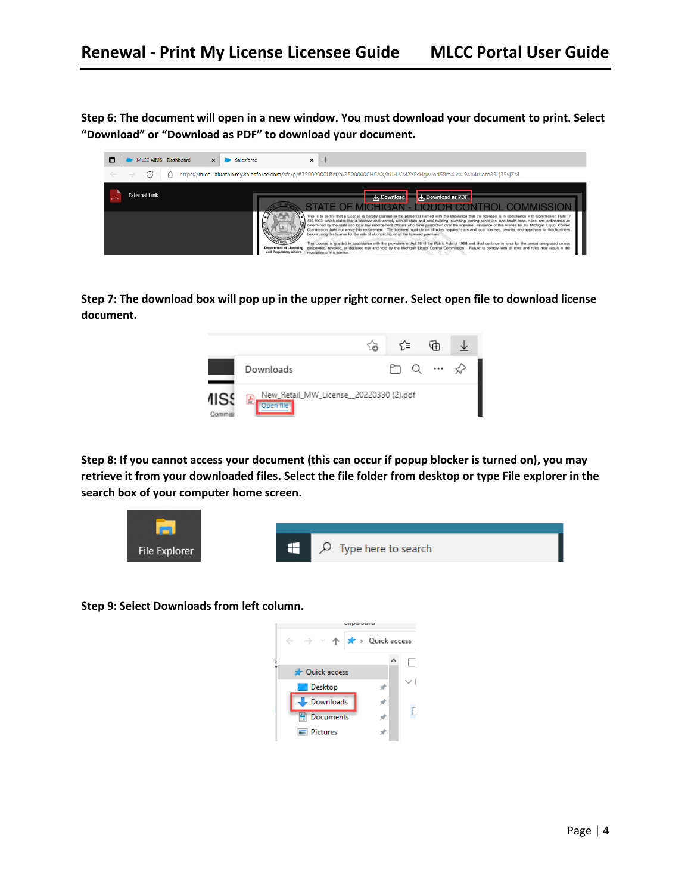**Step 6: The document will open in a new window. You must download your document to print. Select "Download" or "Download as PDF" to download your document.** 



**Step 7: The download box will pop up in the upper right corner. Select open file to download license document.** 



**Step 8: If you cannot access your document (this can occur if popup blocker is turned on), you may retrieve it from your downloaded files. Select the file folder from desktop or type File explorer in the search box of your computer home screen.** 



**Step 9: Select Downloads from left column.**

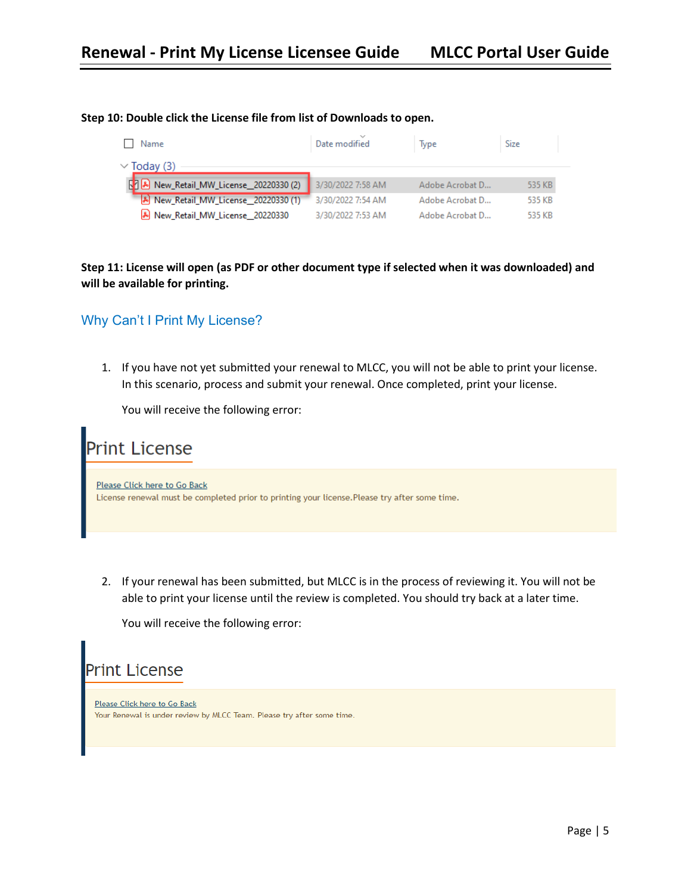| Name<br>$\vee$ Today (3)               | Date modified     | Type            | Size   |
|----------------------------------------|-------------------|-----------------|--------|
|                                        |                   |                 |        |
| N & New_Retail_MW_License_20220330 (2) | 3/30/2022 7:58 AM | Adobe Acrobat D | 535 KB |
| [A] New Retail MW License 20220330 (1) | 3/30/2022 7:54 AM | Adobe Acrobat D | 535 KB |
| [8] New_Retail_MW_License_20220330     | 3/30/2022 7:53 AM | Adobe Acrobat D | 535 KB |

#### **Step 10: Double click the License file from list of Downloads to open.**

**Step 11: License will open (as PDF or other document type if selected when it was downloaded) and will be available for printing.** 

# Why Can't I Print My License?

1. If you have not yet submitted your renewal to MLCC, you will not be able to print your license. In this scenario, process and submit your renewal. Once completed, print your license.

You will receive the following error:



2. If your renewal has been submitted, but MLCC is in the process of reviewing it. You will not be able to print your license until the review is completed. You should try back at a later time.

You will receive the following error:



Please Click here to Go Back Your Renewal is under review by MLCC Team. Please try after some time.